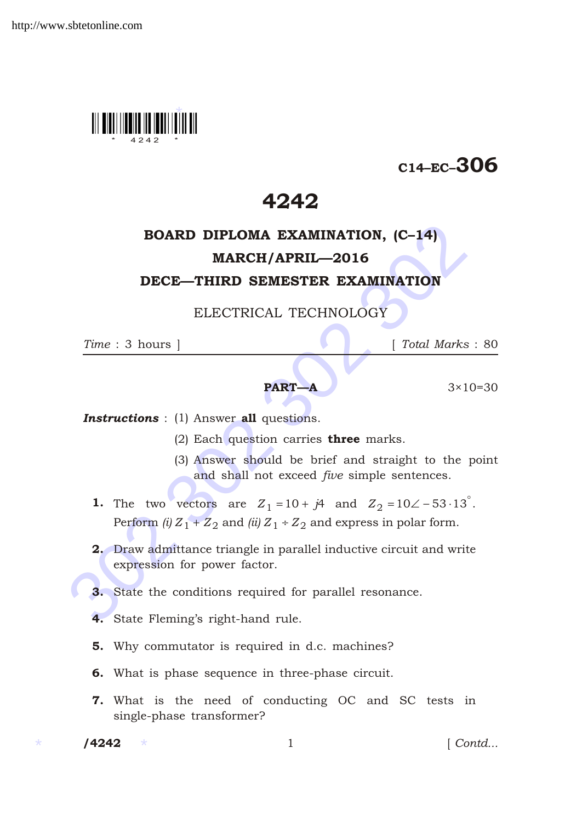

# C14–EC–306

## 4242

## BOARD DIPLOMA EXAMINATION, (C–14) MARCH/APRIL—2016

### DECE—THIRD SEMESTER EXAMINATION

### ELECTRICAL TECHNOLOGY

*Time* : 3 hours ] [ *Total Marks* : 80

#### **PART—A**  $3 \times 10 = 30$

**Instructions** : (1) Answer all questions.

- (2) Each question carries **three** marks.
- (3) Answer should be brief and straight to the point and shall not exceed *five* simple sentences.
- **BOARD DIPLOMA EXAMINATION, (C-14)**<br> **MARCH/APRIL—2016**<br> **DECE—THIRD SEMESTER EXAMINATION**<br>
ELECTRICAL TECHNOLOGY<br>
Time : 3 hours ] [Total Marks :<br> **PART-A** 3×10=<br> **Instructions** : (1) Answer **all** questions.<br>
(2) Each qu **1.** The two vectors are  $Z_1$  10  $j4$  and  $Z_2$  10 53 13. Perform *(i)*  $Z_1$   $Z_2$  and *(ii)*  $Z_1$   $Z_2$  and express in polar form.
	- 2. Draw admittance triangle in parallel inductive circuit and write expression for power factor.
	- 3. State the conditions required for parallel resonance.
	- 4. State Fleming's right-hand rule.
	- 5. Why commutator is required in d.c. machines?
	- 6. What is phase sequence in three-phase circuit.
	- 7. What is the need of conducting OC and SC tests in single-phase transformer?

 $/ 4242$ 

1 *Contd...*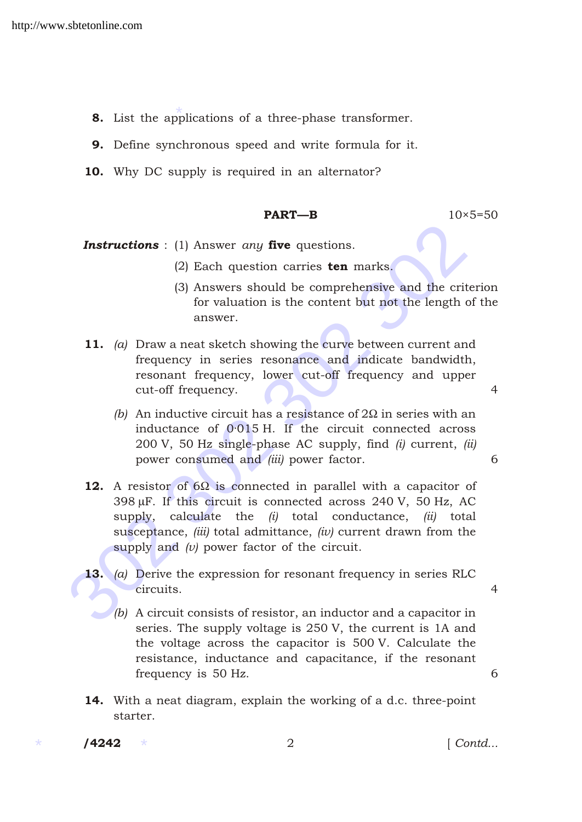- 8. List the applications of a three-phase transformer.
- 9. Define synchronous speed and write formula for it.
- 10. Why DC supply is required in an alternator?

#### **PART—B**  $10 \times 5=50$

- **Instructions** : (1) Answer *any* five questions.
	- (2) Each question carries ten marks.
	- (3) Answers should be comprehensive and the criterion for valuation is the content but not the length of the answer.
- 11. *(a)* Draw a neat sketch showing the curve between current and frequency in series resonance and indicate bandwidth, resonant frequency, lower cut-off frequency and upper cut-off frequency. 4
	- *(b)* An inductive circuit has a resistance of 2 in series with an inductance of 0·015 H. If the circuit connected across 200 V, 50 Hz single-phase AC supply, find *(i)* current, *(ii)* power consumed and *(iii)* power factor. 6
- **Instructions** : (1) Answer *any* five questions.<br>
(2) Each question carries **ten** marks.<br>
(3) Answers should be comprehensive and the criterifor valuation is the content but not the length of answer.<br> **11.** (*a*) Draw a 12. A resistor of 6 is connected in parallel with a capacitor of 398 F. If this circuit is connected across 240 V, 50 Hz, AC supply, calculate the *(i)* total conductance, *(ii)* total susceptance, *(iii)* total admittance, *(iv)* current drawn from the supply and *(v)* power factor of the circuit.
	- 13. *(a)* Derive the expression for resonant frequency in series RLC circuits. 4
		- *(b)* A circuit consists of resistor, an inductor and a capacitor in series. The supply voltage is 250 V, the current is 1A and the voltage across the capacitor is 500 V. Calculate the resistance, inductance and capacitance, if the resonant frequency is 50 Hz. 6
	- 14. With a neat diagram, explain the working of a d.c. three-point starter.

 $/ 4242$ 

/4242 2 [ *Contd...*